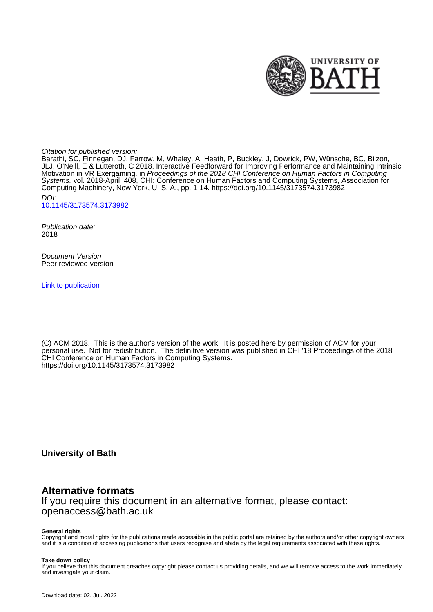

Citation for published version:

Barathi, SC, Finnegan, DJ, Farrow, M, Whaley, A, Heath, P, Buckley, J, Dowrick, PW, Wünsche, BC, Bilzon, JLJ, O'Neill, E & Lutteroth, C 2018, Interactive Feedforward for Improving Performance and Maintaining Intrinsic Motivation in VR Exergaming. in Proceedings of the 2018 CHI Conference on Human Factors in Computing Systems. vol. 2018-April, 408, CHI: Conference on Human Factors and Computing Systems, Association for Computing Machinery, New York, U. S. A., pp. 1-14. <https://doi.org/10.1145/3173574.3173982> DOI:

[10.1145/3173574.3173982](https://doi.org/10.1145/3173574.3173982)

Publication date: 2018

Document Version Peer reviewed version

[Link to publication](https://researchportal.bath.ac.uk/en/publications/interactive-feedforward-for-improving-performance-and-maintaining-intrinsic-motivation-in-vr-exergaming(f5a8b01d-7793-4bad-8d5d-236a142f46f0).html)

(C) ACM 2018. This is the author's version of the work. It is posted here by permission of ACM for your personal use. Not for redistribution. The definitive version was published in CHI '18 Proceedings of the 2018 CHI Conference on Human Factors in Computing Systems. https://doi.org/10.1145/3173574.3173982

**University of Bath**

# **Alternative formats**

If you require this document in an alternative format, please contact: openaccess@bath.ac.uk

#### **General rights**

Copyright and moral rights for the publications made accessible in the public portal are retained by the authors and/or other copyright owners and it is a condition of accessing publications that users recognise and abide by the legal requirements associated with these rights.

# **Take down policy**

If you believe that this document breaches copyright please contact us providing details, and we will remove access to the work immediately and investigate your claim.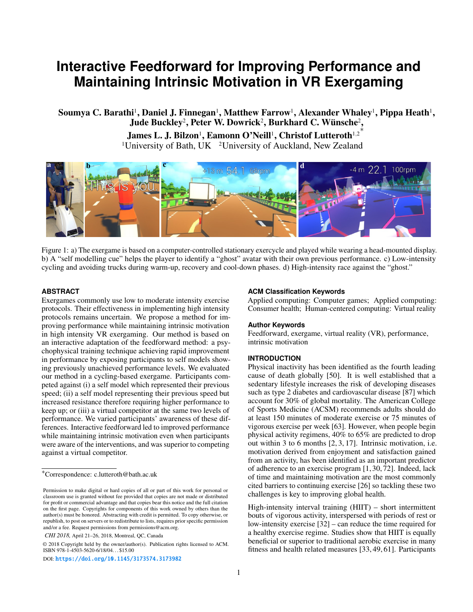# **Interactive Feedforward for Improving Performance and Maintaining Intrinsic Motivation in VR Exergaming**

Soumya C. Barathi<sup>1</sup>, Daniel J. Finnegan<sup>1</sup>, Matthew Farrow<sup>1</sup>, Alexander Whaley<sup>1</sup>, Pippa Heath<sup>1</sup>, Jude Buckley<sup>2</sup>, Peter W. Dowrick<sup>2</sup>, Burkhard C. Wünsche<sup>2</sup>,

James L. J. Bilzon<sup>1</sup>, Eamonn O'Neill<sup>1</sup>, Christof Lutteroth<sup>1,2\*</sup> <sup>1</sup>University of Bath, UK  $\frac{2 \text{University of} Auckland}{\text{Weighted}}$ , New Zealand



<span id="page-1-0"></span>Figure 1: a) The exergame is based on a computer-controlled stationary exercycle and played while wearing a head-mounted display. b) A "self modelling cue" helps the player to identify a "ghost" avatar with their own previous performance. c) Low-intensity cycling and avoiding trucks during warm-up, recovery and cool-down phases. d) High-intensity race against the "ghost."

# **ABSTRACT**

Exergames commonly use low to moderate intensity exercise protocols. Their effectiveness in implementing high intensity protocols remains uncertain. We propose a method for improving performance while maintaining intrinsic motivation in high intensity VR exergaming. Our method is based on an interactive adaptation of the feedforward method: a psychophysical training technique achieving rapid improvement in performance by exposing participants to self models showing previously unachieved performance levels. We evaluated our method in a cycling-based exergame. Participants competed against (i) a self model which represented their previous speed; (ii) a self model representing their previous speed but increased resistance therefore requiring higher performance to keep up; or (iii) a virtual competitor at the same two levels of performance. We varied participants' awareness of these differences. Interactive feedforward led to improved performance while maintaining intrinsic motivation even when participants were aware of the interventions, and was superior to competing against a virtual competitor.

*CHI 2018,* April 21–26, 2018, Montreal, QC, Canada

DOI: <https://doi.org/10.1145/3173574.3173982>

#### **ACM Classification Keywords**

Applied computing: Computer games; Applied computing: Consumer health; Human-centered computing: Virtual reality

# **Author Keywords**

Feedforward, exergame, virtual reality (VR), performance, intrinsic motivation

# **INTRODUCTION**

Physical inactivity has been identified as the fourth leading cause of death globally [\[50\]](#page-12-0). It is well established that a sedentary lifestyle increases the risk of developing diseases such as type 2 diabetes and cardiovascular disease [\[87\]](#page-14-0) which account for 30% of global mortality. The American College of Sports Medicine (ACSM) recommends adults should do at least 150 minutes of moderate exercise or 75 minutes of vigorous exercise per week [\[63\]](#page-13-0). However, when people begin physical activity regimens, 40% to 65% are predicted to drop out within 3 to 6 months [\[2,](#page-11-0) [3,](#page-11-1) [17\]](#page-11-2). Intrinsic motivation, i.e. motivation derived from enjoyment and satisfaction gained from an activity, has been identified as an important predictor of adherence to an exercise program [\[1,](#page-11-3) [30,](#page-12-1) [72\]](#page-13-1). Indeed, lack of time and maintaining motivation are the most commonly cited barriers to continuing exercise [\[26\]](#page-11-4) so tackling these two challenges is key to improving global health.

High-intensity interval training (HIIT) – short intermittent bouts of vigorous activity, interspersed with periods of rest or low-intensity exercise [\[32\]](#page-12-2) – can reduce the time required for a healthy exercise regime. Studies show that HIIT is equally beneficial or superior to traditional aerobic exercise in many fitness and health related measures [\[33,](#page-12-3) [49,](#page-12-4) [61\]](#page-13-2). Participants

<sup>∗</sup>Correspondence: c.lutteroth@bath.ac.uk

Permission to make digital or hard copies of all or part of this work for personal or classroom use is granted without fee provided that copies are not made or distributed for profit or commercial advantage and that copies bear this notice and the full citation on the first page. Copyrights for components of this work owned by others than the author(s) must be honored. Abstracting with credit is permitted. To copy otherwise, or republish, to post on servers or to redistribute to lists, requires prior specific permission and/or a fee. Request permissions from permissions@acm.org.

<sup>© 2018</sup> Copyright held by the owner/author(s). Publication rights licensed to ACM. ISBN 978-1-4503-5620-6/18/04. . . \$15.00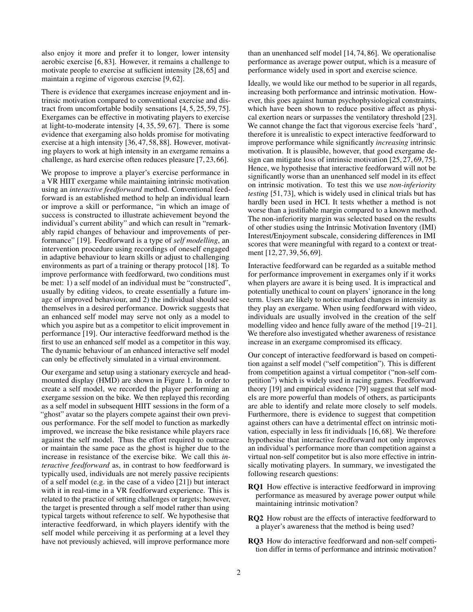also enjoy it more and prefer it to longer, lower intensity aerobic exercise [\[6,](#page-11-5) [83\]](#page-14-1). However, it remains a challenge to motivate people to exercise at sufficient intensity [\[28,](#page-12-5) [65\]](#page-13-3) and maintain a regime of vigorous exercise [\[9,](#page-11-6) [62\]](#page-13-4).

There is evidence that exergames increase enjoyment and intrinsic motivation compared to conventional exercise and distract from uncomfortable bodily sensations [\[4,](#page-11-7) [5,](#page-11-8) [25,](#page-11-9) [59,](#page-13-5) [75\]](#page-13-6). Exergames can be effective in motivating players to exercise at light-to-moderate intensity [\[4,](#page-11-7) [35,](#page-12-6) [59,](#page-13-5) [67\]](#page-13-7). There is some evidence that exergaming also holds promise for motivating exercise at a high intensity [\[36,](#page-12-7) [47,](#page-12-8) [58,](#page-13-8) [88\]](#page-14-2). However, motivating players to work at high intensity in an exergame remains a challenge, as hard exercise often reduces pleasure [\[7,](#page-11-10) [23,](#page-11-11) [66\]](#page-13-9).

We propose to improve a player's exercise performance in a VR HIIT exergame while maintaining intrinsic motivation using an *interactive feedforward* method. Conventional feedforward is an established method to help an individual learn or improve a skill or performance, "in which an image of success is constructed to illustrate achievement beyond the individual's current ability" and which can result in "remarkably rapid changes of behaviour and improvements of performance" [\[19\]](#page-11-12). Feedforward is a type of *self modelling*, an intervention procedure using recordings of oneself engaged in adaptive behaviour to learn skills or adjust to challenging environments as part of a training or therapy protocol [\[18\]](#page-11-13). To improve performance with feedforward, two conditions must be met: 1) a self model of an individual must be "constructed", usually by editing videos, to create essentially a future image of improved behaviour, and 2) the individual should see themselves in a desired performance. Dowrick suggests that an enhanced self model may serve not only as a model to which you aspire but as a competitor to elicit improvement in performance [\[19\]](#page-11-12). Our interactive feedforward method is the first to use an enhanced self model as a competitor in this way. The dynamic behaviour of an enhanced interactive self model can only be effectively simulated in a virtual environment.

Our exergame and setup using a stationary exercycle and headmounted display (HMD) are shown in Figure [1.](#page-1-0) In order to create a self model, we recorded the player performing an exergame session on the bike. We then replayed this recording as a self model in subsequent HIIT sessions in the form of a "ghost" avatar so the players compete against their own previous performance. For the self model to function as markedly improved, we increase the bike resistance while players race against the self model. Thus the effort required to outrace or maintain the same pace as the ghost is higher due to the increase in resistance of the exercise bike. We call this *interactive feedforward* as, in contrast to how feedforward is typically used, individuals are not merely passive recipients of a self model (e.g. in the case of a video [\[21\]](#page-11-14)) but interact with it in real-time in a VR feedforward experience. This is related to the practice of setting challenges or targets; however, the target is presented through a self model rather than using typical targets without reference to self. We hypothesise that interactive feedforward, in which players identify with the self model while perceiving it as performing at a level they have not previously achieved, will improve performance more

than an unenhanced self model [\[14,](#page-11-15) [74,](#page-13-10) [86\]](#page-14-3). We operationalise performance as average power output, which is a measure of performance widely used in sport and exercise science.

Ideally, we would like our method to be superior in all regards, increasing both performance and intrinsic motivation. However, this goes against human psychophysiological constraints, which have been shown to reduce positive affect as physical exertion nears or surpasses the ventilatory threshold [\[23\]](#page-11-11). We cannot change the fact that vigorous exercise feels 'hard', therefore it is unrealistic to expect interactive feedforward to improve performance while significantly *increasing* intrinsic motivation. It is plausible, however, that good exergame design can mitigate loss of intrinsic motivation [\[25,](#page-11-9) [27,](#page-11-16) [69,](#page-13-11) [75\]](#page-13-6). Hence, we hypothesise that interactive feedforward will not be significantly worse than an unenhanced self model in its effect on intrinsic motivation. To test this we use *non-inferiority testing* [\[51,](#page-12-9) [73\]](#page-13-12), which is widely used in clinical trials but has hardly been used in HCI. It tests whether a method is not worse than a justifiable margin compared to a known method. The non-inferiority margin was selected based on the results of other studies using the Intrinsic Motivation Inventory (IMI) Interest/Enjoyment subscale, considering differences in IMI scores that were meaningful with regard to a context or treatment [\[12,](#page-11-17) [27,](#page-11-16) [39,](#page-12-10) [56,](#page-13-13) [69\]](#page-13-11).

Interactive feedforward can be regarded as a suitable method for performance improvement in exergames only if it works when players are aware it is being used. It is impractical and potentially unethical to count on players' ignorance in the long term. Users are likely to notice marked changes in intensity as they play an exergame. When using feedforward with video, individuals are usually involved in the creation of the self modelling video and hence fully aware of the method [\[19](#page-11-12)[–21\]](#page-11-14). We therefore also investigated whether awareness of resistance increase in an exergame compromised its efficacy.

Our concept of interactive feedforward is based on competition against a self model ("self competition"). This is different from competition against a virtual competitor ("non-self competition") which is widely used in racing games. Feedforward theory [\[19\]](#page-11-12) and empirical evidence [\[79\]](#page-14-4) suggest that self models are more powerful than models of others, as participants are able to identify and relate more closely to self models. Furthermore, there is evidence to suggest that competition against others can have a detrimental effect on intrinsic motivation, especially in less fit individuals [\[16,](#page-11-18) [68\]](#page-13-14). We therefore hypothesise that interactive feedforward not only improves an individual's performance more than competition against a virtual non-self competitor but is also more effective in intrinsically motivating players. In summary, we investigated the following research questions:

- RQ1 How effective is interactive feedforward in improving performance as measured by average power output while maintaining intrinsic motivation?
- RQ2 How robust are the effects of interactive feedforward to a player's awareness that the method is being used?
- RQ3 How do interactive feedforward and non-self competition differ in terms of performance and intrinsic motivation?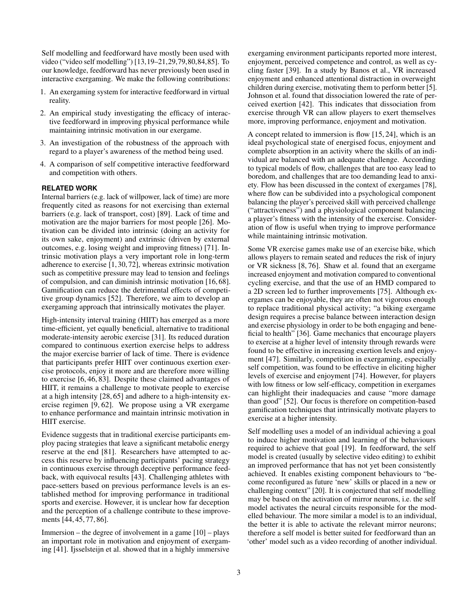Self modelling and feedforward have mostly been used with video ("video self modelling") [\[13,](#page-11-19)[19–](#page-11-12)[21,](#page-11-14)[29](#page-12-11)[,79,](#page-14-4)[80,](#page-14-5)[84,](#page-14-6)[85\]](#page-14-7). To our knowledge, feedforward has never previously been used in interactive exergaming. We make the following contributions:

- 1. An exergaming system for interactive feedforward in virtual reality.
- 2. An empirical study investigating the efficacy of interactive feedforward in improving physical performance while maintaining intrinsic motivation in our exergame.
- 3. An investigation of the robustness of the approach with regard to a player's awareness of the method being used.
- 4. A comparison of self competitive interactive feedforward and competition with others.

# **RELATED WORK**

Internal barriers (e.g. lack of willpower, lack of time) are more frequently cited as reasons for not exercising than external barriers (e.g. lack of transport, cost) [\[89\]](#page-14-8). Lack of time and motivation are the major barriers for most people [\[26\]](#page-11-4). Motivation can be divided into intrinsic (doing an activity for its own sake, enjoyment) and extrinsic (driven by external outcomes, e.g. losing weight and improving fitness) [\[71\]](#page-13-15). Intrinsic motivation plays a very important role in long-term adherence to exercise [\[1,](#page-11-3) [30,](#page-12-1) [72\]](#page-13-1), whereas extrinsic motivation such as competitive pressure may lead to tension and feelings of compulsion, and can diminish intrinsic motivation [\[16,](#page-11-18) [68\]](#page-13-14). Gamification can reduce the detrimental effects of competitive group dynamics [\[52\]](#page-12-12). Therefore, we aim to develop an exergaming approach that intrinsically motivates the player.

High-intensity interval training (HIIT) has emerged as a more time-efficient, yet equally beneficial, alternative to traditional moderate-intensity aerobic exercise [\[31\]](#page-12-13). Its reduced duration compared to continuous exertion exercise helps to address the major exercise barrier of lack of time. There is evidence that participants prefer HIIT over continuous exertion exercise protocols, enjoy it more and are therefore more willing to exercise [\[6,](#page-11-5) [46,](#page-12-14) [83\]](#page-14-1). Despite these claimed advantages of HIIT, it remains a challenge to motivate people to exercise at a high intensity [\[28,](#page-12-5) [65\]](#page-13-3) and adhere to a high-intensity exercise regimen [\[9,](#page-11-6) [62\]](#page-13-4). We propose using a VR exergame to enhance performance and maintain intrinsic motivation in HIIT exercise.

Evidence suggests that in traditional exercise participants employ pacing strategies that leave a significant metabolic energy reserve at the end [\[81\]](#page-14-9). Researchers have attempted to access this reserve by influencing participants' pacing strategy in continuous exercise through deceptive performance feedback, with equivocal results [\[43\]](#page-12-15). Challenging athletes with pace-setters based on previous performance levels is an established method for improving performance in traditional sports and exercise. However, it is unclear how far deception and the perception of a challenge contribute to these improve-ments [\[44,](#page-12-16) [45,](#page-12-17) [77,](#page-14-10) [86\]](#page-14-3).

Immersion – the degree of involvement in a game  $[10]$  – plays an important role in motivation and enjoyment of exergaming [\[41\]](#page-12-18). Ijsselsteijn et al. showed that in a highly immersive

exergaming environment participants reported more interest, enjoyment, perceived competence and control, as well as cycling faster [\[39\]](#page-12-10). In a study by Banos et al., VR increased enjoyment and enhanced attentional distraction in overweight children during exercise, motivating them to perform better [\[5\]](#page-11-8). Johnson et al. found that dissociation lowered the rate of perceived exertion [\[42\]](#page-12-19). This indicates that dissociation from exercise through VR can allow players to exert themselves more, improving performance, enjoyment and motivation.

A concept related to immersion is flow [\[15,](#page-11-21) [24\]](#page-11-22), which is an ideal psychological state of energised focus, enjoyment and complete absorption in an activity where the skills of an individual are balanced with an adequate challenge. According to typical models of flow, challenges that are too easy lead to boredom, and challenges that are too demanding lead to anxiety. Flow has been discussed in the context of exergames [\[78\]](#page-14-11), where flow can be subdivided into a psychological component balancing the player's perceived skill with perceived challenge ("attractiveness") and a physiological component balancing a player's fitness with the intensity of the exercise. Consideration of flow is useful when trying to improve performance while maintaining intrinsic motivation.

Some VR exercise games make use of an exercise bike, which allows players to remain seated and reduces the risk of injury or VR sickness [\[8,](#page-11-23) [76\]](#page-13-16). Shaw et al. found that an exergame increased enjoyment and motivation compared to conventional cycling exercise, and that the use of an HMD compared to a 2D screen led to further improvements [\[75\]](#page-13-6). Although exergames can be enjoyable, they are often not vigorous enough to replace traditional physical activity; "a biking exergame design requires a precise balance between interaction design and exercise physiology in order to be both engaging and beneficial to health" [\[36\]](#page-12-7). Game mechanics that encourage players to exercise at a higher level of intensity through rewards were found to be effective in increasing exertion levels and enjoyment [\[47\]](#page-12-8). Similarly, competition in exergaming, especially self competition, was found to be effective in eliciting higher levels of exercise and enjoyment [\[74\]](#page-13-10). However, for players with low fitness or low self-efficacy, competition in exergames can highlight their inadequacies and cause "more damage than good" [\[52\]](#page-12-12). Our focus is therefore on competition-based gamification techniques that intrinsically motivate players to exercise at a higher intensity.

Self modelling uses a model of an individual achieving a goal to induce higher motivation and learning of the behaviours required to achieve that goal [\[19\]](#page-11-12). In feedforward, the self model is created (usually by selective video editing) to exhibit an improved performance that has not yet been consistently achieved. It enables existing component behaviours to "become reconfigured as future 'new' skills or placed in a new or challenging context" [\[20\]](#page-11-24). It is conjectured that self modelling may be based on the activation of mirror neurons, i.e. the self model activates the neural circuits responsible for the modelled behaviour. The more similar a model is to an individual, the better it is able to activate the relevant mirror neurons; therefore a self model is better suited for feedforward than an 'other' model such as a video recording of another individual.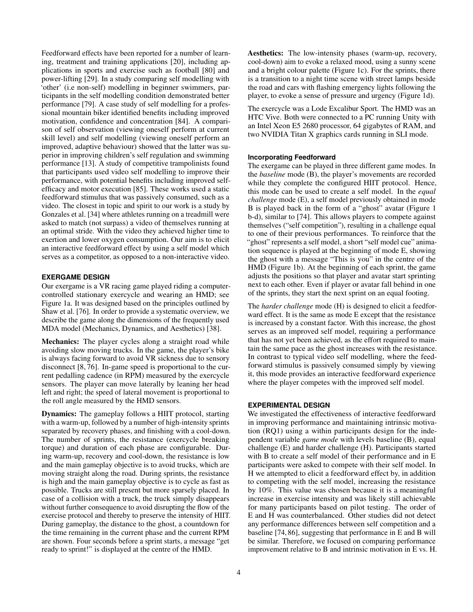Feedforward effects have been reported for a number of learning, treatment and training applications [\[20\]](#page-11-24), including applications in sports and exercise such as football [\[80\]](#page-14-5) and power-lifting [\[29\]](#page-12-11). In a study comparing self modelling with 'other' (i.e non-self) modelling in beginner swimmers, participants in the self modelling condition demonstrated better performance [\[79\]](#page-14-4). A case study of self modelling for a professional mountain biker identified benefits including improved motivation, confidence and concentration [\[84\]](#page-14-6). A comparison of self observation (viewing oneself perform at current skill level) and self modelling (viewing oneself perform an improved, adaptive behaviour) showed that the latter was superior in improving children's self regulation and swimming performance [\[13\]](#page-11-19). A study of competitive trampolinists found that participants used video self modelling to improve their performance, with potential benefits including improved selfefficacy and motor execution [\[85\]](#page-14-7). These works used a static feedforward stimulus that was passively consumed, such as a video. The closest in topic and spirit to our work is a study by Gonzales et al. [\[34\]](#page-12-20) where athletes running on a treadmill were asked to match (not surpass) a video of themselves running at an optimal stride. With the video they achieved higher time to exertion and lower oxygen consumption. Our aim is to elicit an interactive feedforward effect by using a self model which serves as a competitor, as opposed to a non-interactive video.

# **EXERGAME DESIGN**

Our exergame is a VR racing game played riding a computercontrolled stationary exercycle and wearing an HMD; see Figure [1a](#page-1-0). It was designed based on the principles outlined by Shaw et al. [\[76\]](#page-13-16). In order to provide a systematic overview, we describe the game along the dimensions of the frequently used MDA model (Mechanics, Dynamics, and Aesthetics) [\[38\]](#page-12-21).

Mechanics: The player cycles along a straight road while avoiding slow moving trucks. In the game, the player's bike is always facing forward to avoid VR sickness due to sensory disconnect [\[8,](#page-11-23) [76\]](#page-13-16). In-game speed is proportional to the current pedalling cadence (in RPM) measured by the exercycle sensors. The player can move laterally by leaning her head left and right; the speed of lateral movement is proportional to the roll angle measured by the HMD sensors.

Dynamics: The gameplay follows a HIIT protocol, starting with a warm-up, followed by a number of high-intensity sprints separated by recovery phases, and finishing with a cool-down. The number of sprints, the resistance (exercycle breaking torque) and duration of each phase are configurable. During warm-up, recovery and cool-down, the resistance is low and the main gameplay objective is to avoid trucks, which are moving straight along the road. During sprints, the resistance is high and the main gameplay objective is to cycle as fast as possible. Trucks are still present but more sparsely placed. In case of a collision with a truck, the truck simply disappears without further consequence to avoid disrupting the flow of the exercise protocol and thereby to preserve the intensity of HIIT. During gameplay, the distance to the ghost, a countdown for the time remaining in the current phase and the current RPM are shown. Four seconds before a sprint starts, a message "get ready to sprint!" is displayed at the centre of the HMD.

Aesthetics: The low-intensity phases (warm-up, recovery, cool-down) aim to evoke a relaxed mood, using a sunny scene and a bright colour palette (Figure [1c](#page-1-0)). For the sprints, there is a transition to a night time scene with street lamps beside the road and cars with flashing emergency lights following the player, to evoke a sense of pressure and urgency (Figure [1d](#page-1-0)).

The exercycle was a Lode Excalibur Sport. The HMD was an HTC Vive. Both were connected to a PC running Unity with an Intel Xeon E5 2680 processor, 64 gigabytes of RAM, and two NVIDIA Titan X graphics cards running in SLI mode.

#### **Incorporating Feedforward**

The exergame can be played in three different game modes. In the *baseline* mode (B), the player's movements are recorded while they complete the configured HIIT protocol. Hence, this mode can be used to create a self model. In the *equal challenge* mode (E), a self model previously obtained in mode B is played back in the form of a "ghost" avatar (Figure [1](#page-1-0) b-d), similar to [\[74\]](#page-13-10). This allows players to compete against themselves ("self competition"), resulting in a challenge equal to one of their previous performances. To reinforce that the "ghost" represents a self model, a short "self model cue" animation sequence is played at the beginning of mode E, showing the ghost with a message "This is you" in the centre of the HMD (Figure [1b](#page-1-0)). At the beginning of each sprint, the game adjusts the positions so that player and avatar start sprinting next to each other. Even if player or avatar fall behind in one of the sprints, they start the next sprint on an equal footing.

The *harder challenge* mode (H) is designed to elicit a feedforward effect. It is the same as mode E except that the resistance is increased by a constant factor. With this increase, the ghost serves as an improved self model, requiring a performance that has not yet been achieved, as the effort required to maintain the same pace as the ghost increases with the resistance. In contrast to typical video self modelling, where the feedforward stimulus is passively consumed simply by viewing it, this mode provides an interactive feedforward experience where the player competes with the improved self model.

# **EXPERIMENTAL DESIGN**

We investigated the effectiveness of interactive feedforward in improving performance and maintaining intrinsic motivation (RQ1) using a within participants design for the independent variable *game mode* with levels baseline (B), equal challenge (E) and harder challenge (H). Participants started with B to create a self model of their performance and in E participants were asked to compete with their self model. In H we attempted to elicit a feedforward effect by, in addition to competing with the self model, increasing the resistance by 10%. This value was chosen because it is a meaningful increase in exercise intensity and was likely still achievable for many participants based on pilot testing. The order of E and H was counterbalanced. Other studies did not detect any performance differences between self competition and a baseline [\[74,](#page-13-10) [86\]](#page-14-3), suggesting that performance in E and B will be similar. Therefore, we focused on comparing performance improvement relative to B and intrinsic motivation in E vs. H.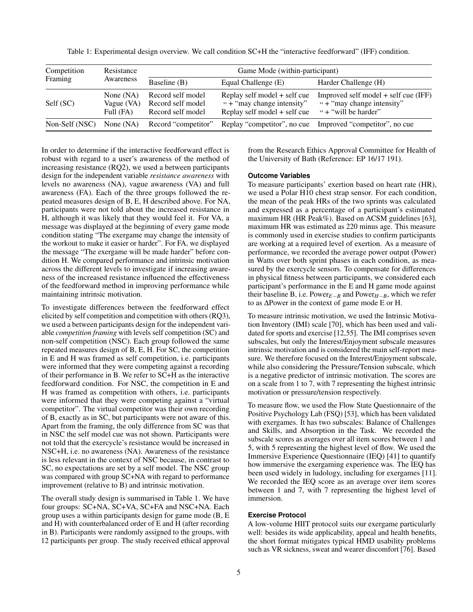<span id="page-5-0"></span>

| Competition<br>Framing | Resistance<br>Awareness                | Game Mode (within-participant)                              |                                                                                                  |                                                                                                          |  |
|------------------------|----------------------------------------|-------------------------------------------------------------|--------------------------------------------------------------------------------------------------|----------------------------------------------------------------------------------------------------------|--|
|                        |                                        | Baseline (B)                                                | Equal Challenge (E)                                                                              | Harder Challenge (H)                                                                                     |  |
| Self (SC)              | None $(NA)$<br>Vague (VA)<br>Full (FA) | Record self model<br>Record self model<br>Record self model | Replay self model + self cue<br>$\cdot$ + "may change intensity"<br>Replay self model + self cue | Improved self model $+$ self cue (IFF)<br>$\cdot$ + "may change intensity"<br>$\cdot$ + "will be harder" |  |
| Non-Self (NSC)         | None $(NA)$                            |                                                             | Record "competitor" Replay "competitor", no cue                                                  | Improved "competitor", no cue                                                                            |  |

Table 1: Experimental design overview. We call condition SC+H the "interactive feedforward" (IFF) condition.

In order to determine if the interactive feedforward effect is robust with regard to a user's awareness of the method of increasing resistance (RQ2), we used a between participants design for the independent variable *resistance awareness* with levels no awareness (NA), vague awareness (VA) and full awareness (FA). Each of the three groups followed the repeated measures design of B, E, H described above. For NA, participants were not told about the increased resistance in H, although it was likely that they would feel it. For VA, a message was displayed at the beginning of every game mode condition stating "The exergame may change the intensity of the workout to make it easier or harder". For FA, we displayed the message "The exergame will be made harder" before condition H. We compared performance and intrinsic motivation across the different levels to investigate if increasing awareness of the increased resistance influenced the effectiveness of the feedforward method in improving performance while maintaining intrinsic motivation.

To investigate differences between the feedforward effect elicited by self competition and competition with others (RQ3), we used a between participants design for the independent variable *competition framing* with levels self competition (SC) and non-self competition (NSC). Each group followed the same repeated measures design of B, E, H. For SC, the competition in E and H was framed as self competition, i.e. participants were informed that they were competing against a recording of their performance in B. We refer to SC+H as the interactive feedforward condition. For NSC, the competition in E and H was framed as competition with others, i.e. participants were informed that they were competing against a "virtual competitor". The virtual competitor was their own recording of B, exactly as in SC, but participants were not aware of this. Apart from the framing, the only difference from SC was that in NSC the self model cue was not shown. Participants were not told that the exercycle's resistance would be increased in NSC+H, i.e. no awareness (NA). Awareness of the resistance is less relevant in the context of NSC because, in contrast to SC, no expectations are set by a self model. The NSC group was compared with group SC+NA with regard to performance improvement (relative to B) and intrinsic motivation.

The overall study design is summarised in Table [1.](#page-5-0) We have four groups: SC+NA, SC+VA, SC+FA and NSC+NA. Each group uses a within participants design for game mode (B, E and H) with counterbalanced order of E and H (after recording in B). Participants were randomly assigned to the groups, with 12 participants per group. The study received ethical approval

from the Research Ethics Approval Committee for Health of the University of Bath (Reference: EP 16/17 191).

#### **Outcome Variables**

To measure participants' exertion based on heart rate (HR), we used a Polar H10 chest strap sensor. For each condition, the mean of the peak HRs of the two sprints was calculated and expressed as a percentage of a participant's estimated maximum HR (HR Peak%). Based on ACSM guidelines [\[63\]](#page-13-0), maximum HR was estimated as 220 minus age. This measure is commonly used in exercise studies to confirm participants are working at a required level of exertion. As a measure of performance, we recorded the average power output (Power) in Watts over both sprint phases in each condition, as measured by the exercycle sensors. To compensate for differences in physical fitness between participants, we considered each participant's performance in the E and H game mode against their baseline B, i.e. Power $_{E-B}$  and Power $_{H-B}$ , which we refer to as ∆Power in the context of game mode E or H.

To measure intrinsic motivation, we used the Intrinsic Motivation Inventory (IMI) scale [\[70\]](#page-13-17), which has been used and validated for sports and exercise [\[12](#page-11-17)[,55\]](#page-13-18). The IMI comprises seven subscales, but only the Interest/Enjoyment subscale measures intrinsic motivation and is considered the main self-report measure. We therefore focused on the Interest/Enjoyment subscale, while also considering the Pressure/Tension subscale, which is a negative predictor of intrinsic motivation. The scores are on a scale from 1 to 7, with 7 representing the highest intrinsic motivation or pressure/tension respectively.

To measure flow, we used the Flow State Questionnaire of the Positive Psychology Lab (FSQ) [\[53\]](#page-13-19), which has been validated with exergames. It has two subscales: Balance of Challenges and Skills, and Absorption in the Task. We recorded the subscale scores as averages over all item scores between 1 and 5, with 5 representing the highest level of flow. We used the Immersive Experience Questionnaire (IEQ) [\[41\]](#page-12-18) to quantify how immersive the exergaming experience was. The IEQ has been used widely in ludology, including for exergames [\[11\]](#page-11-25). We recorded the IEQ score as an average over item scores between 1 and 7, with 7 representing the highest level of immersion.

# **Exercise Protocol**

A low-volume HIIT protocol suits our exergame particularly well: besides its wide applicability, appeal and health benefits, the short format mitigates typical HMD usability problems such as VR sickness, sweat and wearer discomfort [\[76\]](#page-13-16). Based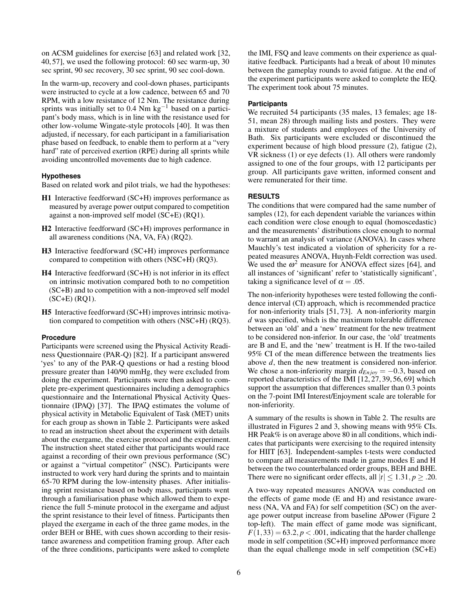on ACSM guidelines for exercise [\[63\]](#page-13-0) and related work [\[32,](#page-12-2) [40,](#page-12-22) [57\]](#page-13-20), we used the following protocol: 60 sec warm-up, 30 sec sprint, 90 sec recovery, 30 sec sprint, 90 sec cool-down.

In the warm-up, recovery and cool-down phases, participants were instructed to cycle at a low cadence, between 65 and 70 RPM, with a low resistance of 12 Nm. The resistance during sprints was initially set to 0.4 Nm  $kg^{-1}$  based on a participant's body mass, which is in line with the resistance used for other low-volume Wingate-style protocols [\[40\]](#page-12-22). It was then adjusted, if necessary, for each participant in a familiarisation phase based on feedback, to enable them to perform at a "very hard" rate of perceived exertion (RPE) during all sprints while avoiding uncontrolled movements due to high cadence.

#### **Hypotheses**

Based on related work and pilot trials, we had the hypotheses:

- H1 Interactive feedforward (SC+H) improves performance as measured by average power output compared to competition against a non-improved self model (SC+E) (RQ1).
- H2 Interactive feedforward (SC+H) improves performance in all awareness conditions (NA, VA, FA) (RQ2).
- H3 Interactive feedforward (SC+H) improves performance compared to competition with others (NSC+H) (RQ3).
- H4 Interactive feedforward (SC+H) is not inferior in its effect on intrinsic motivation compared both to no competition (SC+B) and to competition with a non-improved self model  $(SC+E)$  (RQ1).
- H5 Interactive feedforward (SC+H) improves intrinsic motivation compared to competition with others (NSC+H) (RQ3).

#### **Procedure**

Participants were screened using the Physical Activity Readiness Questionnaire (PAR-Q) [\[82\]](#page-14-12). If a participant answered 'yes' to any of the PAR-Q questions or had a resting blood pressure greater than 140/90 mmHg, they were excluded from doing the experiment. Participants were then asked to complete pre-experiment questionnaires including a demographics questionnaire and the International Physical Activity Questionnaire (IPAQ) [\[37\]](#page-12-23). The IPAQ estimates the volume of physical activity in Metabolic Equivalent of Task (MET) units for each group as shown in Table [2.](#page-7-0) Participants were asked to read an instruction sheet about the experiment with details about the exergame, the exercise protocol and the experiment. The instruction sheet stated either that participants would race against a recording of their own previous performance (SC) or against a "virtual competitor" (NSC). Participants were instructed to work very hard during the sprints and to maintain 65-70 RPM during the low-intensity phases. After initialising sprint resistance based on body mass, participants went through a familiarisation phase which allowed them to experience the full 5-minute protocol in the exergame and adjust the sprint resistance to their level of fitness. Participants then played the exergame in each of the three game modes, in the order BEH or BHE, with cues shown according to their resistance awareness and competition framing group. After each of the three conditions, participants were asked to complete

the IMI, FSQ and leave comments on their experience as qualitative feedback. Participants had a break of about 10 minutes between the gameplay rounds to avoid fatigue. At the end of the experiment participants were asked to complete the IEQ. The experiment took about 75 minutes.

#### **Participants**

We recruited 54 participants (35 males, 13 females; age 18-51, mean 28) through mailing lists and posters. They were a mixture of students and employees of the University of Bath. Six participants were excluded or discontinued the experiment because of high blood pressure (2), fatigue (2), VR sickness (1) or eye defects (1). All others were randomly assigned to one of the four groups, with 12 participants per group. All participants gave written, informed consent and were remunerated for their time.

# **RESULTS**

The conditions that were compared had the same number of samples (12), for each dependent variable the variances within each condition were close enough to equal (homoscedastic) and the measurements' distributions close enough to normal to warrant an analysis of variance (ANOVA). In cases where Mauchly's test indicated a violation of sphericity for a repeated measures ANOVA, Huynh-Feldt correction was used. We used the  $\omega^2$  measure for ANOVA effect sizes [\[64\]](#page-13-21), and all instances of 'significant' refer to 'statistically significant', taking a significance level of  $\alpha = .05$ .

The non-inferiority hypotheses were tested following the confidence interval (CI) approach, which is recommended practice for non-inferiority trials [\[51,](#page-12-9) [73\]](#page-13-12). A non-inferiority margin *d* was specified, which is the maximum tolerable difference between an 'old' and a 'new' treatment for the new treatment to be considered non-inferior. In our case, the 'old' treatments are B and E, and the 'new' treatment is H. If the two-tailed 95% CI of the mean difference between the treatments lies above *d*, then the new treatment is considered non-inferior. We chose a non-inferiority margin  $d_{Enjoy} = -0.3$ , based on reported characteristics of the IMI  $[12, 27, 39, 56, 69]$  $[12, 27, 39, 56, 69]$  $[12, 27, 39, 56, 69]$  $[12, 27, 39, 56, 69]$  $[12, 27, 39, 56, 69]$  $[12, 27, 39, 56, 69]$  $[12, 27, 39, 56, 69]$  $[12, 27, 39, 56, 69]$  $[12, 27, 39, 56, 69]$  which support the assumption that differences smaller than 0.3 points on the 7-point IMI Interest/Enjoyment scale are tolerable for non-inferiority.

A summary of the results is shown in Table [2.](#page-7-0) The results are illustrated in Figures [2](#page-8-0) and [3,](#page-8-1) showing means with 95% CIs. HR Peak% is on average above 80 in all conditions, which indicates that participants were exercising to the required intensity for HIIT [\[63\]](#page-13-0). Independent-samples t-tests were conducted to compare all measurements made in game modes E and H between the two counterbalanced order groups, BEH and BHE. There were no significant order effects, all  $|t| \le 1.31, p \ge .20$ .

A two-way repeated measures ANOVA was conducted on the effects of game mode (E and H) and resistance awareness (NA, VA and FA) for self competition (SC) on the average power output increase from baseline ∆Power (Figure [2](#page-8-0) top-left). The main effect of game mode was significant,  $F(1,33) = 63.2, p < .001$ , indicating that the harder challenge mode in self competition (SC+H) improved performance more than the equal challenge mode in self competition (SC+E)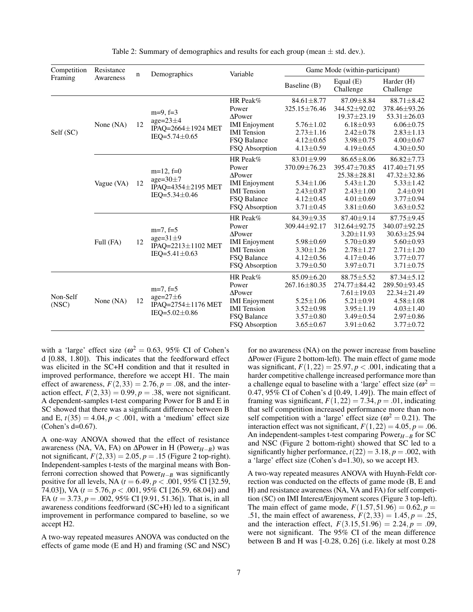<span id="page-7-0"></span>

| Competition       | Resistance<br>Awareness | $\mathbf n$ | Demographics                                                                        | Variable             | Game Mode (within-participant) |                          |                         |
|-------------------|-------------------------|-------------|-------------------------------------------------------------------------------------|----------------------|--------------------------------|--------------------------|-------------------------|
| Framing           |                         |             |                                                                                     |                      | Baseline (B)                   | Equal $(E)$<br>Challenge | Harder (H)<br>Challenge |
|                   | None (NA)               | 12          | $m=9$ , f=3<br>$age=23\pm4$<br>IPAQ= $2664 \pm 1924$ MET<br>IEQ=5.74 $\pm$ 0.65     | HR Peak $%$          | $84.61 \pm 8.77$               | $87.09 \pm 8.84$         | $88.71 \pm 8.42$        |
| Self (SC)         |                         |             |                                                                                     | Power                | 325.15±76.46                   | 344.52±92.02             | 378.46±93.26            |
|                   |                         |             |                                                                                     | $\triangle Power$    |                                | 19.37±23.19              | $53.31 \pm 26.03$       |
|                   |                         |             |                                                                                     | <b>IMI</b> Enjoyment | $5.76 \pm 1.02$                | $6.18 \pm 0.93$          | $6.06 \pm 0.75$         |
|                   |                         |             |                                                                                     | <b>IMI</b> Tension   | $2.73 \pm 1.16$                | $2.42 \pm 0.78$          | $2.83 \pm 1.13$         |
|                   |                         |             |                                                                                     | FSQ Balance          | $4.12 \pm 0.65$                | $3.98 \pm 0.75$          | $4.00 \pm 0.67$         |
|                   |                         |             |                                                                                     | FSQ Absorption       | $4.13 \pm 0.59$                | $4.19 \pm 0.65$          | $4.30 \pm 0.50$         |
|                   |                         |             | $m=12$ , $f=0$<br>age= $30\pm7$<br>IPAQ= $4354 \pm 2195$ MET<br>IEQ=5.34 $\pm$ 0.46 | HR Peak%             | 83.01±9.99                     | $86.65 \pm 8.06$         | $86.82 \pm 7.73$        |
|                   |                         |             |                                                                                     | Power                | 370.09±76.23                   | 395.47±70.85             | 417.40±71.95            |
|                   |                         |             |                                                                                     | $\Delta$ Power       |                                | $25.38 \pm 28.81$        | 47.32±32.86             |
|                   | Vague (VA)              | 12          |                                                                                     | <b>IMI</b> Enjoyment | $5.34 \pm 1.06$                | $5.43 \pm 1.20$          | $5.33 \pm 1.42$         |
|                   |                         |             |                                                                                     | <b>IMI</b> Tension   | $2.43 \pm 0.87$                | $2.43 \pm 1.00$          | $2.4 \pm 0.91$          |
|                   |                         |             |                                                                                     | FSQ Balance          | $4.12 \pm 0.45$                | $4.01 \pm 0.69$          | $3.77 \pm 0.94$         |
|                   |                         |             |                                                                                     | FSQ Absorption       | $3.71 \pm 0.45$                | $3.81 \pm 0.60$          | $3.63 \pm 0.52$         |
|                   | Full (FA)               |             | $m=7$ , f=5<br>age= $31\pm9$<br>IPAO= $2213 \pm 1102$ MET<br>IEQ=5.41 $\pm$ 0.63    | HR Peak%             | $84.39 \pm 9.35$               | $87.40 \pm 9.14$         | $87.75 \pm 9.45$        |
|                   |                         |             |                                                                                     | Power                | 309.44±92.17                   | 312.64±92.75             | 340.07±92.25            |
|                   |                         |             |                                                                                     | $\Delta$ Power       |                                | $3.20 \pm 11.93$         | $30.63 \pm 25.94$       |
|                   |                         | 12          |                                                                                     | <b>IMI</b> Enjoyment | $5.98 \pm 0.69$                | $5.70 \pm 0.89$          | $5.60 \pm 0.93$         |
|                   |                         |             |                                                                                     | <b>IMI</b> Tension   | $3.30 \pm 1.26$                | $2.78 \pm 1.27$          | $2.71 \pm 1.20$         |
|                   |                         |             |                                                                                     | FSQ Balance          | $4.12 \pm 0.56$                | $4.17 \pm 0.46$          | $3.77 \pm 0.77$         |
|                   |                         |             |                                                                                     | FSQ Absorption       | $3.79 \pm 0.50$                | $3.97 \pm 0.71$          | $3.71 \pm 0.75$         |
| Non-Self<br>(NSC) | None (NA)               | 12          | $m=7$ , f=5<br>$age=27\pm6$<br>IPAQ=2754±1176 MET<br>IEQ= $5.02 \pm 0.86$           | HR Peak $%$          | $85.09 \pm 6.20$               | $88.75 \pm 5.52$         | $87.34 \pm 5.12$        |
|                   |                         |             |                                                                                     | Power                | $267.16 \pm 80.35$             | 274.77±84.42             | 289.50±93.45            |
|                   |                         |             |                                                                                     | $\Delta$ Power       |                                | $7.61 \pm 19.03$         | 22.34±21.49             |
|                   |                         |             |                                                                                     | <b>IMI</b> Enjoyment | $5.25 \pm 1.06$                | $5.21 \pm 0.91$          | $4.58 \pm 1.08$         |
|                   |                         |             |                                                                                     | <b>IMI</b> Tension   | $3.52 \pm 0.98$                | $3.95 \pm 1.19$          | $4.03 \pm 1.40$         |
|                   |                         |             |                                                                                     | FSQ Balance          | $3.57 \pm 0.80$                | $3.49 \pm 0.54$          | $2.97 \pm 0.86$         |
|                   |                         |             |                                                                                     | FSQ Absorption       | $3.65 \pm 0.67$                | $3.91 \pm 0.62$          | $3.77 \pm 0.72$         |

| Table 2: Summary of demographics and results for each group (mean $\pm$ std. dev.). |  |
|-------------------------------------------------------------------------------------|--|
|                                                                                     |  |

with a 'large' effect size ( $\omega^2 = 0.63$ , 95% CI of Cohen's d [0.88, 1.80]). This indicates that the feedforward effect was elicited in the SC+H condition and that it resulted in improved performance, therefore we accept H1. The main effect of awareness,  $F(2,33) = 2.76$ ,  $p = .08$ , and the interaction effect,  $F(2,33) = 0.99$ ,  $p = .38$ , were not significant. A dependent-samples t-test comparing Power for B and E in SC showed that there was a significant difference between B and E,  $t(35) = 4.04$ ,  $p < .001$ , with a 'medium' effect size  $(Cohen's d=0.67)$ .

A one-way ANOVA showed that the effect of resistance awareness (NA, VA, FA) on  $ΔPower in H (Power<sub>H-B</sub>)$  was not significant,  $F(2,33) = 2.05, p = .15$  $F(2,33) = 2.05, p = .15$  $F(2,33) = 2.05, p = .15$  (Figure 2 top-right). Independent-samples t-tests of the marginal means with Bonferroni correction showed that Power $H$ <sup>−*B*</sup> was significantly positive for all levels, NA (*t* = 6.49, *p* < .001, 95% CI [32.59, 74.03]), VA (*t* = 5.76, *p* < .001, 95% CI [26.59, 68.04]) and FA (*t* = 3.73, *p* = .002, 95% CI [9.91, 51.36]). That is, in all awareness conditions feedforward (SC+H) led to a significant improvement in performance compared to baseline, so we accept H2.

A two-way repeated measures ANOVA was conducted on the effects of game mode (E and H) and framing (SC and NSC) for no awareness (NA) on the power increase from baseline ∆Power (Figure [2](#page-8-0) bottom-left). The main effect of game mode was significant,  $F(1,22) = 25.97, p < .001$ , indicating that a harder competitive challenge increased performance more than a challenge equal to baseline with a 'large' effect size ( $\omega^2 =$ 0.47, 95% CI of Cohen's d [0.49, 1.49]). The main effect of framing was significant,  $F(1,22) = 7.34, p = .01$ , indicating that self competition increased performance more than nonself competition with a 'large' effect size ( $\omega^2 = 0.21$ ). The interaction effect was not significant,  $F(1,22) = 4.05$ ,  $p = .06$ . An independent-samples t-test comparing Power*H*−*<sup>B</sup>* for SC and NSC (Figure [2](#page-8-0) bottom-right) showed that SC led to a significantly higher performance,  $t(22) = 3.18$ ,  $p = .002$ , with a 'large' effect size (Cohen's d=1.30), so we accept H3.

A two-way repeated measures ANOVA with Huynh-Feldt correction was conducted on the effects of game mode (B, E and H) and resistance awareness (NA, VA and FA) for self competition (SC) on IMI Interest/Enjoyment scores (Figure [3](#page-8-1) top-left). The main effect of game mode,  $F(1.57,51.96) = 0.62, p =$ .51, the main effect of awareness,  $F(2,33) = 1.45, p = .25$ , and the interaction effect,  $F(3.15,51.96) = 2.24, p = .09$ , were not significant. The 95% CI of the mean difference between B and H was [-0.28, 0.26] (i.e. likely at most 0.28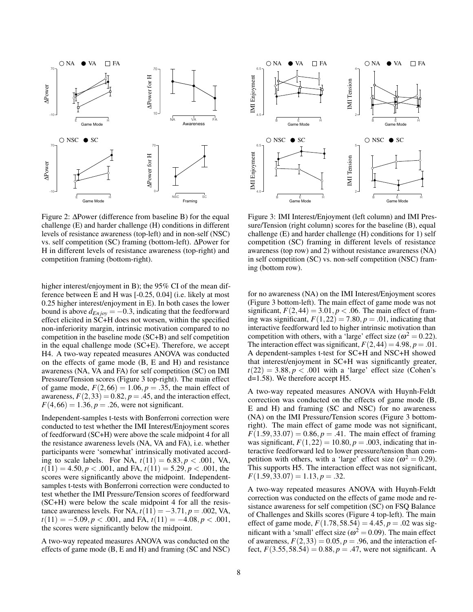<span id="page-8-0"></span>

Figure 2: ∆Power (difference from baseline B) for the equal challenge (E) and harder challenge (H) conditions in different levels of resistance awareness (top-left) and in non-self (NSC) vs. self competition (SC) framing (bottom-left). ∆Power for H in different levels of resistance awareness (top-right) and competition framing (bottom-right).

higher interest/enjoyment in B); the 95% CI of the mean difference between E and H was [-0.25, 0.04] (i.e. likely at most 0.25 higher interest/enjoyment in E). In both cases the lower bound is above  $d_{En\,jov} = -0.3$ , indicating that the feedforward effect elicited in SC+H does not worsen, within the specified non-inferiority margin, intrinsic motivation compared to no competition in the baseline mode (SC+B) and self competition in the equal challenge mode (SC+E). Therefore, we accept H4. A two-way repeated measures ANOVA was conducted on the effects of game mode (B, E and H) and resistance awareness (NA, VA and FA) for self competition (SC) on IMI Pressure/Tension scores (Figure [3](#page-8-1) top-right). The main effect of game mode,  $F(2,66) = 1.06, p = .35$ , the main effect of awareness,  $F(2,33) = 0.82, p = .45$ , and the interaction effect,  $F(4,66) = 1.36, p = .26$ , were not significant.

Independent-samples t-tests with Bonferroni correction were conducted to test whether the IMI Interest/Enjoyment scores of feedforward (SC+H) were above the scale midpoint 4 for all the resistance awareness levels (NA, VA and FA), i.e. whether participants were 'somewhat' intrinsically motivated according to scale labels. For NA,  $t(11) = 6.83, p < .001$ , VA,  $t(11) = 4.50, p < .001$ , and FA,  $t(11) = 5.29, p < .001$ , the scores were significantly above the midpoint. Independentsamples t-tests with Bonferroni correction were conducted to test whether the IMI Pressure/Tension scores of feedforward (SC+H) were below the scale midpoint 4 for all the resistance awareness levels. For NA,  $t(11) = -3.71$ ,  $p = .002$ , VA,  $t(11) = -5.09, p < .001$ , and FA,  $t(11) = -4.08, p < .001$ , the scores were significantly below the midpoint.

A two-way repeated measures ANOVA was conducted on the effects of game mode (B, E and H) and framing (SC and NSC)

<span id="page-8-1"></span>

Figure 3: IMI Interest/Enjoyment (left column) and IMI Pressure/Tension (right column) scores for the baseline (B), equal challenge (E) and harder challenge (H) conditions for 1) self competition (SC) framing in different levels of resistance awareness (top row) and 2) without resistance awareness (NA) in self competition (SC) vs. non-self competition (NSC) framing (bottom row).

for no awareness (NA) on the IMI Interest/Enjoyment scores (Figure [3](#page-8-1) bottom-left). The main effect of game mode was not significant,  $F(2, 44) = 3.01$ ,  $p < .06$ . The main effect of framing was significant,  $F(1,22) = 7.80, p = .01$ , indicating that interactive feedforward led to higher intrinsic motivation than competition with others, with a 'large' effect size ( $\omega^2 = 0.22$ ). The interaction effect was significant,  $F(2,44) = 4.98, p = .01$ . A dependent-samples t-test for SC+H and NSC+H showed that interest/enjoyment in SC+H was significantly greater,  $t(22) = 3.88, p < .001$  with a 'large' effect size (Cohen's d=1.58). We therefore accept H5.

A two-way repeated measures ANOVA with Huynh-Feldt correction was conducted on the effects of game mode (B, E and H) and framing (SC and NSC) for no awareness (NA) on the IMI Pressure/Tension scores (Figure [3](#page-8-1) bottomright). The main effect of game mode was not significant,  $F(1.59, 33.07) = 0.86, p = .41$ . The main effect of framing was significant,  $F(1,22) = 10.80, p = .003$ , indicating that interactive feedforward led to lower pressure/tension than competition with others, with a 'large' effect size ( $\omega^2 = 0.29$ ). This supports H5. The interaction effect was not significant,  $F(1.59, 33.07) = 1.13, p = .32.$ 

A two-way repeated measures ANOVA with Huynh-Feldt correction was conducted on the effects of game mode and resistance awareness for self competition (SC) on FSQ Balance of Challenges and Skills scores (Figure [4](#page-9-0) top-left). The main effect of game mode,  $F(1.78, 58.54) = 4.45, p = .02$  was significant with a 'small' effect size ( $\omega^2 = 0.09$ ). The main effect of awareness,  $F(2,33) = 0.05, p = .96$ , and the interaction effect,  $F(3.55, 58.54) = 0.88, p = .47$ , were not significant. A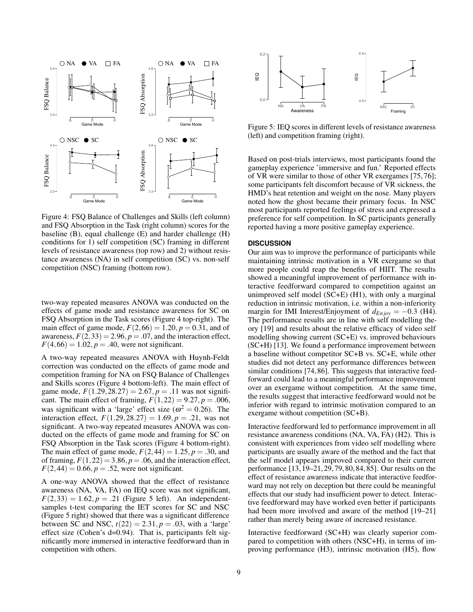<span id="page-9-0"></span>

Figure 4: FSQ Balance of Challenges and Skills (left column) and FSQ Absorption in the Task (right column) scores for the baseline (B), equal challenge (E) and harder challenge (H) conditions for 1) self competition (SC) framing in different levels of resistance awareness (top row) and 2) without resistance awareness (NA) in self competition (SC) vs. non-self competition (NSC) framing (bottom row).

two-way repeated measures ANOVA was conducted on the effects of game mode and resistance awareness for SC on FSQ Absorption in the Task scores (Figure [4](#page-9-0) top-right). The main effect of game mode,  $F(2,66) = 1.20, p = 0.31$ , and of awareness,  $F(2,33) = 2.96$ ,  $p = .07$ , and the interaction effect,  $F(4,66) = 1.02, p = .40$ , were not significant.

A two-way repeated measures ANOVA with Huynh-Feldt correction was conducted on the effects of game mode and competition framing for NA on FSQ Balance of Challenges and Skills scores (Figure [4](#page-9-0) bottom-left). The main effect of game mode,  $F(1.29, 28.27) = 2.67, p = .11$  was not significant. The main effect of framing,  $F(1,22) = 9.27, p = .006$ , was significant with a 'large' effect size ( $\omega^2 = 0.26$ ). The interaction effect,  $F(1.29, 28.27) = 1.69, p = .21$ , was not significant. A two-way repeated measures ANOVA was conducted on the effects of game mode and framing for SC on FSQ Absorption in the Task scores (Figure [4](#page-9-0) bottom-right). The main effect of game mode,  $F(2,44) = 1.25, p = .30$ , and of framing,  $F(1,22) = 3.86$ ,  $p = .06$ , and the interaction effect,  $F(2,44) = 0.66, p = .52$ , were not significant.

A one-way ANOVA showed that the effect of resistance awareness (NA, VA, FA) on IEQ score was not significant,  $F(2,33) = 1.62, p = .21$  (Figure [5](#page-9-1) left). An independentsamples t-test comparing the IET scores for SC and NSC (Figure [5](#page-9-1) right) showed that there was a significant difference between SC and NSC,  $t(22) = 2.31$ ,  $p = .03$ , with a 'large' effect size (Cohen's d=0.94). That is, participants felt significantly more immersed in interactive feedforward than in competition with others.

<span id="page-9-1"></span>

Figure 5: IEQ scores in different levels of resistance awareness (left) and competition framing (right).

Based on post-trials interviews, most participants found the gameplay experience 'immersive and fun.' Reported effects of VR were similar to those of other VR exergames [\[75,](#page-13-6) [76\]](#page-13-16); some participants felt discomfort because of VR sickness, the HMD's heat retention and weight on the nose. Many players noted how the ghost became their primary focus. In NSC most participants reported feelings of stress and expressed a preference for self competition. In SC participants generally reported having a more positive gameplay experience.

# **DISCUSSION**

Our aim was to improve the performance of participants while maintaining intrinsic motivation in a VR exergame so that more people could reap the benefits of HIIT. The results showed a meaningful improvement of performance with interactive feedforward compared to competition against an unimproved self model (SC+E) (H1), with only a marginal reduction in intrinsic motivation, i.e. within a non-inferiority margin for IMI Interest/Enjoyment of  $d_{Enjoy} = -0.3$  (H4). The performance results are in line with self modelling theory [\[19\]](#page-11-12) and results about the relative efficacy of video self modelling showing current (SC+E) vs. improved behaviours (SC+H) [\[13\]](#page-11-19). We found a performance improvement between a baseline without competitor SC+B vs. SC+E, while other studies did not detect any performance differences between similar conditions [\[74,](#page-13-10) [86\]](#page-14-3). This suggests that interactive feedforward could lead to a meaningful performance improvement over an exergame without competition. At the same time, the results suggest that interactive feedforward would not be inferior with regard to intrinsic motivation compared to an exergame without competition (SC+B).

Interactive feedforward led to performance improvement in all resistance awareness conditions (NA, VA, FA) (H2). This is consistent with experiences from video self modelling where participants are usually aware of the method and the fact that the self model appears improved compared to their current performance [\[13,](#page-11-19) [19–](#page-11-12)[21,](#page-11-14) [29,](#page-12-11) [79,](#page-14-4) [80,](#page-14-5) [84,](#page-14-6) [85\]](#page-14-7). Our results on the effect of resistance awareness indicate that interactive feedforward may not rely on deception but there could be meaningful effects that our study had insufficient power to detect. Interactive feedforward may have worked even better if participants had been more involved and aware of the method [\[19–](#page-11-12)[21\]](#page-11-14) rather than merely being aware of increased resistance.

Interactive feedforward (SC+H) was clearly superior compared to competition with others (NSC+H), in terms of improving performance (H3), intrinsic motivation (H5), flow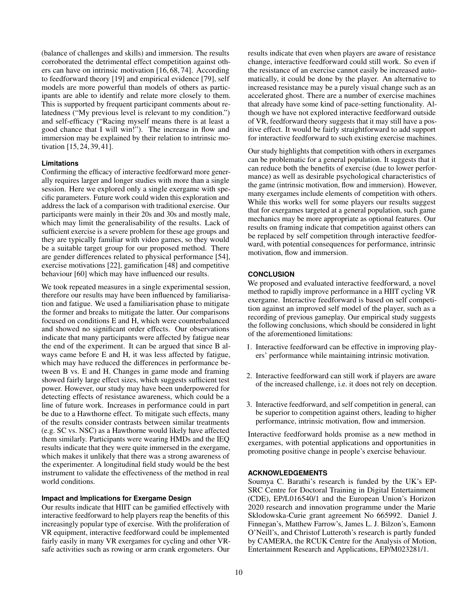(balance of challenges and skills) and immersion. The results corroborated the detrimental effect competition against others can have on intrinsic motivation [\[16,](#page-11-18) [68,](#page-13-14) [74\]](#page-13-10). According to feedforward theory [\[19\]](#page-11-12) and empirical evidence [\[79\]](#page-14-4), self models are more powerful than models of others as participants are able to identify and relate more closely to them. This is supported by frequent participant comments about relatedness ("My previous level is relevant to my condition.") and self-efficacy ("Racing myself means there is at least a good chance that I will win!"). The increase in flow and immersion may be explained by their relation to intrinsic motivation [\[15,](#page-11-21) [24,](#page-11-22) [39,](#page-12-10) [41\]](#page-12-18).

#### **Limitations**

Confirming the efficacy of interactive feedforward more generally requires larger and longer studies with more than a single session. Here we explored only a single exergame with specific parameters. Future work could widen this exploration and address the lack of a comparison with traditional exercise. Our participants were mainly in their 20s and 30s and mostly male, which may limit the generalisability of the results. Lack of sufficient exercise is a severe problem for these age groups and they are typically familiar with video games, so they would be a suitable target group for our proposed method. There are gender differences related to physical performance [\[54\]](#page-13-22), exercise motivations [\[22\]](#page-11-26), gamification [\[48\]](#page-12-24) and competitive behaviour [\[60\]](#page-13-23) which may have influenced our results.

We took repeated measures in a single experimental session, therefore our results may have been influenced by familiarisation and fatigue. We used a familiarisation phase to mitigate the former and breaks to mitigate the latter. Our comparisons focused on conditions E and H, which were counterbalanced and showed no significant order effects. Our observations indicate that many participants were affected by fatigue near the end of the experiment. It can be argued that since B always came before E and H, it was less affected by fatigue, which may have reduced the differences in performance between B vs. E and H. Changes in game mode and framing showed fairly large effect sizes, which suggests sufficient test power. However, our study may have been underpowered for detecting effects of resistance awareness, which could be a line of future work. Increases in performance could in part be due to a Hawthorne effect. To mitigate such effects, many of the results consider contrasts between similar treatments (e.g. SC vs. NSC) as a Hawthorne would likely have affected them similarly. Participants were wearing HMDs and the IEQ results indicate that they were quite immersed in the exergame, which makes it unlikely that there was a strong awareness of the experimenter. A longitudinal field study would be the best instrument to validate the effectiveness of the method in real world conditions.

# **Impact and Implications for Exergame Design**

Our results indicate that HIIT can be gamified effectively with interactive feedforward to help players reap the benefits of this increasingly popular type of exercise. With the proliferation of VR equipment, interactive feedforward could be implemented fairly easily in many VR exergames for cycling and other VRsafe activities such as rowing or arm crank ergometers. Our results indicate that even when players are aware of resistance change, interactive feedforward could still work. So even if the resistance of an exercise cannot easily be increased automatically, it could be done by the player. An alternative to increased resistance may be a purely visual change such as an accelerated ghost. There are a number of exercise machines that already have some kind of pace-setting functionality. Although we have not explored interactive feedforward outside of VR, feedforward theory suggests that it may still have a positive effect. It would be fairly straightforward to add support for interactive feedforward to such existing exercise machines.

Our study highlights that competition with others in exergames can be problematic for a general population. It suggests that it can reduce both the benefits of exercise (due to lower performance) as well as desirable psychological characteristics of the game (intrinsic motivation, flow and immersion). However, many exergames include elements of competition with others. While this works well for some players our results suggest that for exergames targeted at a general population, such game mechanics may be more appropriate as optional features. Our results on framing indicate that competition against others can be replaced by self competition through interactive feedforward, with potential consequences for performance, intrinsic motivation, flow and immersion.

#### **CONCLUSION**

We proposed and evaluated interactive feedforward, a novel method to rapidly improve performance in a HIIT cycling VR exergame. Interactive feedforward is based on self competition against an improved self model of the player, such as a recording of previous gameplay. Our empirical study suggests the following conclusions, which should be considered in light of the aforementioned limitations:

- 1. Interactive feedforward can be effective in improving players' performance while maintaining intrinsic motivation.
- 2. Interactive feedforward can still work if players are aware of the increased challenge, i.e. it does not rely on deception.
- 3. Interactive feedforward, and self competition in general, can be superior to competition against others, leading to higher performance, intrinsic motivation, flow and immersion.

Interactive feedforward holds promise as a new method in exergames, with potential applications and opportunities in promoting positive change in people's exercise behaviour.

# **ACKNOWLEDGEMENTS**

Soumya C. Barathi's research is funded by the UK's EP-SRC Centre for Doctoral Training in Digital Entertainment (CDE), EP/L016540/1 and the European Union's Horizon 2020 research and innovation programme under the Marie Sklodowska-Curie grant agreement No 665992. Daniel J. Finnegan's, Matthew Farrow's, James L. J. Bilzon's, Eamonn O'Neill's, and Christof Lutteroth's research is partly funded by CAMERA, the RCUK Centre for the Analysis of Motion, Entertainment Research and Applications, EP/M023281/1.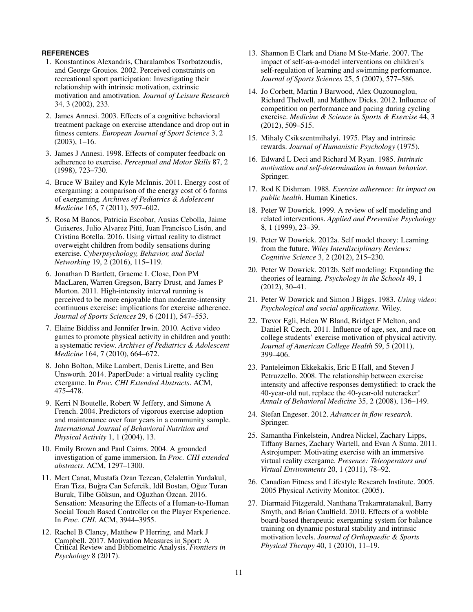# <span id="page-11-3"></span>**REFERENCES**

- 1. Konstantinos Alexandris, Charalambos Tsorbatzoudis, and George Grouios. 2002. Perceived constraints on recreational sport participation: Investigating their relationship with intrinsic motivation, extrinsic motivation and amotivation. *Journal of Leisure Research* 34, 3 (2002), 233.
- <span id="page-11-0"></span>2. James Annesi. 2003. Effects of a cognitive behavioral treatment package on exercise attendance and drop out in fitness centers. *European Journal of Sport Science* 3, 2  $(2003)$ , 1–16.
- <span id="page-11-1"></span>3. James J Annesi. 1998. Effects of computer feedback on adherence to exercise. *Perceptual and Motor Skills* 87, 2 (1998), 723–730.
- <span id="page-11-7"></span>4. Bruce W Bailey and Kyle McInnis. 2011. Energy cost of exergaming: a comparison of the energy cost of 6 forms of exergaming. *Archives of Pediatrics & Adolescent Medicine* 165, 7 (2011), 597–602.
- <span id="page-11-8"></span>5. Rosa M Banos, Patricia Escobar, Ausias Cebolla, Jaime Guixeres, Julio Alvarez Pitti, Juan Francisco Lisón, and Cristina Botella. 2016. Using virtual reality to distract overweight children from bodily sensations during exercise. *Cyberpsychology, Behavior, and Social Networking* 19, 2 (2016), 115–119.
- <span id="page-11-5"></span>6. Jonathan D Bartlett, Graeme L Close, Don PM MacLaren, Warren Gregson, Barry Drust, and James P Morton. 2011. High-intensity interval running is perceived to be more enjoyable than moderate-intensity continuous exercise: implications for exercise adherence. *Journal of Sports Sciences* 29, 6 (2011), 547–553.
- <span id="page-11-10"></span>7. Elaine Biddiss and Jennifer Irwin. 2010. Active video games to promote physical activity in children and youth: a systematic review. *Archives of Pediatrics & Adolescent Medicine* 164, 7 (2010), 664–672.
- <span id="page-11-23"></span>8. John Bolton, Mike Lambert, Denis Lirette, and Ben Unsworth. 2014. PaperDude: a virtual reality cycling exergame. In *Proc. CHI Extended Abstracts*. ACM, 475–478.
- <span id="page-11-6"></span>9. Kerri N Boutelle, Robert W Jeffery, and Simone A French. 2004. Predictors of vigorous exercise adoption and maintenance over four years in a community sample. *International Journal of Behavioral Nutrition and Physical Activity* 1, 1 (2004), 13.
- <span id="page-11-20"></span>10. Emily Brown and Paul Cairns. 2004. A grounded investigation of game immersion. In *Proc. CHI extended abstracts*. ACM, 1297–1300.
- <span id="page-11-25"></span>11. Mert Canat, Mustafa Ozan Tezcan, Celalettin Yurdakul, Eran Tiza, Buğra Can Sefercik, Idil Bostan, Oğuz Turan Buruk, Tilbe Göksun, and Oğuzhan Özcan. 2016. Sensation: Measuring the Effects of a Human-to-Human Social Touch Based Controller on the Player Experience. In *Proc. CHI*. ACM, 3944–3955.
- <span id="page-11-17"></span>12. Rachel B Clancy, Matthew P Herring, and Mark J Campbell. 2017. Motivation Measures in Sport: A Critical Review and Bibliometric Analysis. *Frontiers in Psychology* 8 (2017).
- <span id="page-11-19"></span>13. Shannon E Clark and Diane M Ste-Marie. 2007. The impact of self-as-a-model interventions on children's self-regulation of learning and swimming performance. *Journal of Sports Sciences* 25, 5 (2007), 577–586.
- <span id="page-11-15"></span>14. Jo Corbett, Martin J Barwood, Alex Ouzounoglou, Richard Thelwell, and Matthew Dicks. 2012. Influence of competition on performance and pacing during cycling exercise. *Medicine & Science in Sports & Exercise* 44, 3 (2012), 509–515.
- <span id="page-11-21"></span>15. Mihaly Csikszentmihalyi. 1975. Play and intrinsic rewards. *Journal of Humanistic Psychology* (1975).
- <span id="page-11-18"></span>16. Edward L Deci and Richard M Ryan. 1985. *Intrinsic motivation and self-determination in human behavior*. Springer.
- <span id="page-11-2"></span>17. Rod K Dishman. 1988. *Exercise adherence: Its impact on public health*. Human Kinetics.
- <span id="page-11-13"></span>18. Peter W Dowrick. 1999. A review of self modeling and related interventions. *Applied and Preventive Psychology* 8, 1 (1999), 23–39.
- <span id="page-11-12"></span>19. Peter W Dowrick. 2012a. Self model theory: Learning from the future. *Wiley Interdisciplinary Reviews: Cognitive Science* 3, 2 (2012), 215–230.
- <span id="page-11-24"></span>20. Peter W Dowrick. 2012b. Self modeling: Expanding the theories of learning. *Psychology in the Schools* 49, 1 (2012), 30–41.
- <span id="page-11-14"></span>21. Peter W Dowrick and Simon J Biggs. 1983. *Using video: Psychological and social applications*. Wiley.
- <span id="page-11-26"></span>22. Trevor Egli, Helen W Bland, Bridget F Melton, and Daniel R Czech. 2011. Influence of age, sex, and race on college students' exercise motivation of physical activity. *Journal of American College Health* 59, 5 (2011), 399–406.
- <span id="page-11-11"></span>23. Panteleimon Ekkekakis, Eric E Hall, and Steven J Petruzzello. 2008. The relationship between exercise intensity and affective responses demystified: to crack the 40-year-old nut, replace the 40-year-old nutcracker! *Annals of Behavioral Medicine* 35, 2 (2008), 136–149.
- <span id="page-11-22"></span>24. Stefan Engeser. 2012. *Advances in flow research*. Springer.
- <span id="page-11-9"></span>25. Samantha Finkelstein, Andrea Nickel, Zachary Lipps, Tiffany Barnes, Zachary Wartell, and Evan A Suma. 2011. Astrojumper: Motivating exercise with an immersive virtual reality exergame. *Presence: Teleoperators and Virtual Environments* 20, 1 (2011), 78–92.
- <span id="page-11-4"></span>26. Canadian Fitness and Lifestyle Research Institute. 2005. 2005 Physical Activity Monitor. (2005).
- <span id="page-11-16"></span>27. Diarmaid Fitzgerald, Nanthana Trakarnratanakul, Barry Smyth, and Brian Caulfield. 2010. Effects of a wobble board-based therapeutic exergaming system for balance training on dynamic postural stability and intrinsic motivation levels. *Journal of Orthopaedic & Sports Physical Therapy* 40, 1 (2010), 11–19.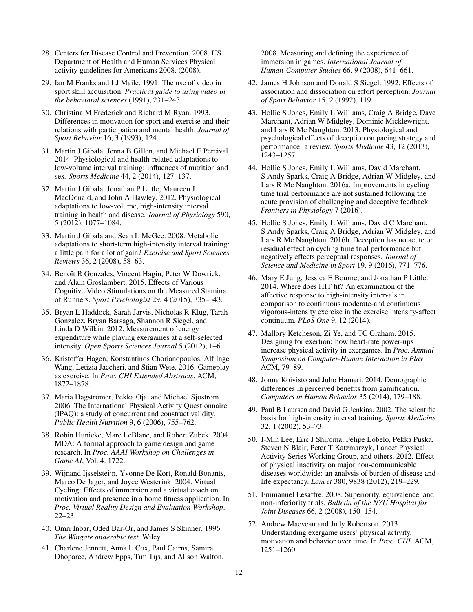- <span id="page-12-5"></span>28. Centers for Disease Control and Prevention. 2008. US Department of Health and Human Services Physical activity guidelines for Americans 2008. (2008).
- <span id="page-12-11"></span>29. Ian M Franks and LJ Maile. 1991. The use of video in sport skill acquisition. *Practical guide to using video in the behavioral sciences* (1991), 231–243.
- <span id="page-12-1"></span>30. Christina M Frederick and Richard M Ryan. 1993. Differences in motivation for sport and exercise and their relations with participation and mental health. *Journal of Sport Behavior* 16, 3 (1993), 124.
- <span id="page-12-13"></span>31. Martin J Gibala, Jenna B Gillen, and Michael E Percival. 2014. Physiological and health-related adaptations to low-volume interval training: influences of nutrition and sex. *Sports Medicine* 44, 2 (2014), 127–137.
- <span id="page-12-2"></span>32. Martin J Gibala, Jonathan P Little, Maureen J MacDonald, and John A Hawley. 2012. Physiological adaptations to low-volume, high-intensity interval training in health and disease. *Journal of Physiology* 590, 5 (2012), 1077–1084.
- <span id="page-12-3"></span>33. Martin J Gibala and Sean L McGee. 2008. Metabolic adaptations to short-term high-intensity interval training: a little pain for a lot of gain? *Exercise and Sport Sciences Reviews* 36, 2 (2008), 58–63.
- <span id="page-12-20"></span>34. Benoît R Gonzales, Vincent Hagin, Peter W Dowrick, and Alain Groslambert. 2015. Effects of Various Cognitive Video Stimulations on the Measured Stamina of Runners. *Sport Psychologist* 29, 4 (2015), 335–343.
- <span id="page-12-6"></span>35. Bryan L Haddock, Sarah Jarvis, Nicholas R Klug, Tarah Gonzalez, Bryan Barsaga, Shannon R Siegel, and Linda D Wilkin. 2012. Measurement of energy expenditure while playing exergames at a self-selected intensity. *Open Sports Sciences Journal* 5 (2012), 1–6.
- <span id="page-12-7"></span>36. Kristoffer Hagen, Konstantinos Chorianopoulos, Alf Inge Wang, Letizia Jaccheri, and Stian Weie. 2016. Gameplay as exercise. In *Proc. CHI Extended Abstracts*. ACM, 1872–1878.
- <span id="page-12-23"></span>37. Maria Hagströmer, Pekka Oja, and Michael Sjöström. 2006. The International Physical Activity Questionnaire (IPAQ): a study of concurrent and construct validity. *Public Health Nutrition* 9, 6 (2006), 755–762.
- <span id="page-12-21"></span>38. Robin Hunicke, Marc LeBlanc, and Robert Zubek. 2004. MDA: A formal approach to game design and game research. In *Proc. AAAI Workshop on Challenges in Game AI*, Vol. 4. 1722.
- <span id="page-12-10"></span>39. Wijnand Ijsselsteijn, Yvonne De Kort, Ronald Bonants, Marco De Jager, and Joyce Westerink. 2004. Virtual Cycling: Effects of immersion and a virtual coach on motivation and presence in a home fitness application. In *Proc. Virtual Reality Design and Evaluation Workshop*. 22–23.
- <span id="page-12-22"></span>40. Omri Inbar, Oded Bar-Or, and James S Skinner. 1996. *The Wingate anaerobic test*. Wiley.
- <span id="page-12-18"></span>41. Charlene Jennett, Anna L Cox, Paul Cairns, Samira Dhoparee, Andrew Epps, Tim Tijs, and Alison Walton.

2008. Measuring and defining the experience of immersion in games. *International Journal of Human-Computer Studies* 66, 9 (2008), 641–661.

- <span id="page-12-19"></span>42. James H Johnson and Donald S Siegel. 1992. Effects of association and dissociation on effort perception. *Journal of Sport Behavior* 15, 2 (1992), 119.
- <span id="page-12-15"></span>43. Hollie S Jones, Emily L Williams, Craig A Bridge, Dave Marchant, Adrian W Midgley, Dominic Micklewright, and Lars R Mc Naughton. 2013. Physiological and psychological effects of deception on pacing strategy and performance: a review. *Sports Medicine* 43, 12 (2013), 1243–1257.
- <span id="page-12-16"></span>44. Hollie S Jones, Emily L Williams, David Marchant, S Andy Sparks, Craig A Bridge, Adrian W Midgley, and Lars R Mc Naughton. 2016a. Improvements in cycling time trial performance are not sustained following the acute provision of challenging and deceptive feedback. *Frontiers in Physiology* 7 (2016).
- <span id="page-12-17"></span>45. Hollie S Jones, Emily L Williams, David C Marchant, S Andy Sparks, Craig A Bridge, Adrian W Midgley, and Lars R Mc Naughton. 2016b. Deception has no acute or residual effect on cycling time trial performance but negatively effects perceptual responses. *Journal of Science and Medicine in Sport* 19, 9 (2016), 771–776.
- <span id="page-12-14"></span>46. Mary E Jung, Jessica E Bourne, and Jonathan P Little. 2014. Where does HIT fit? An examination of the affective response to high-intensity intervals in comparison to continuous moderate-and continuous vigorous-intensity exercise in the exercise intensity-affect continuum. *PLoS One* 9, 12 (2014).
- <span id="page-12-8"></span>47. Mallory Ketcheson, Zi Ye, and TC Graham. 2015. Designing for exertion: how heart-rate power-ups increase physical activity in exergames. In *Proc. Annual Symposium on Computer-Human Interaction in Play*. ACM, 79–89.
- <span id="page-12-24"></span>48. Jonna Koivisto and Juho Hamari. 2014. Demographic differences in perceived benefits from gamification. *Computers in Human Behavior* 35 (2014), 179–188.
- <span id="page-12-4"></span>49. Paul B Laursen and David G Jenkins. 2002. The scientific basis for high-intensity interval training. *Sports Medicine* 32, 1 (2002), 53–73.
- <span id="page-12-0"></span>50. I-Min Lee, Eric J Shiroma, Felipe Lobelo, Pekka Puska, Steven N Blair, Peter T Katzmarzyk, Lancet Physical Activity Series Working Group, and others. 2012. Effect of physical inactivity on major non-communicable diseases worldwide: an analysis of burden of disease and life expectancy. *Lancet* 380, 9838 (2012), 219–229.
- <span id="page-12-9"></span>51. Emmanuel Lesaffre. 2008. Superiority, equivalence, and non-inferiority trials. *Bulletin of the NYU Hospital for Joint Diseases* 66, 2 (2008), 150–154.
- <span id="page-12-12"></span>52. Andrew Macvean and Judy Robertson. 2013. Understanding exergame users' physical activity, motivation and behavior over time. In *Proc. CHI*. ACM, 1251–1260.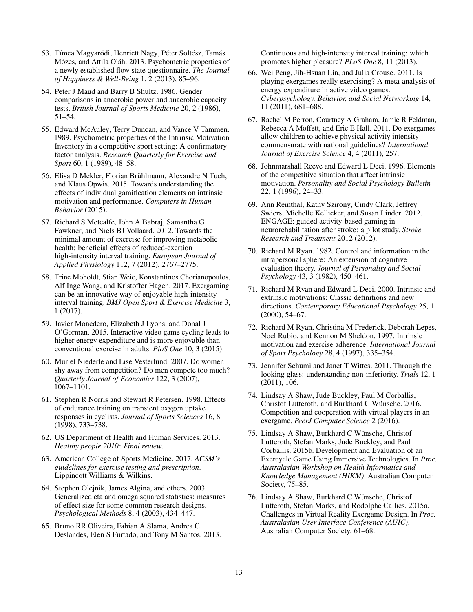- <span id="page-13-19"></span>53. Tímea Magyaródi, Henriett Nagy, Péter Soltész, Tamás Mózes, and Attila Oláh. 2013. Psychometric properties of a newly established flow state questionnaire. *The Journal of Happiness & Well-Being* 1, 2 (2013), 85–96.
- <span id="page-13-22"></span>54. Peter J Maud and Barry B Shultz. 1986. Gender comparisons in anaerobic power and anaerobic capacity tests. *British Journal of Sports Medicine* 20, 2 (1986), 51–54.
- <span id="page-13-18"></span>55. Edward McAuley, Terry Duncan, and Vance V Tammen. 1989. Psychometric properties of the Intrinsic Motivation Inventory in a competitive sport setting: A confirmatory factor analysis. *Research Quarterly for Exercise and Sport* 60, 1 (1989), 48–58.
- <span id="page-13-13"></span>56. Elisa D Mekler, Florian Brühlmann, Alexandre N Tuch, and Klaus Opwis. 2015. Towards understanding the effects of individual gamification elements on intrinsic motivation and performance. *Computers in Human Behavior* (2015).
- <span id="page-13-20"></span>57. Richard S Metcalfe, John A Babraj, Samantha G Fawkner, and Niels BJ Vollaard. 2012. Towards the minimal amount of exercise for improving metabolic health: beneficial effects of reduced-exertion high-intensity interval training. *European Journal of Applied Physiology* 112, 7 (2012), 2767–2775.
- <span id="page-13-8"></span>58. Trine Moholdt, Stian Weie, Konstantinos Chorianopoulos, Alf Inge Wang, and Kristoffer Hagen. 2017. Exergaming can be an innovative way of enjoyable high-intensity interval training. *BMJ Open Sport & Exercise Medicine* 3, 1 (2017).
- <span id="page-13-5"></span>59. Javier Monedero, Elizabeth J Lyons, and Donal J O'Gorman. 2015. Interactive video game cycling leads to higher energy expenditure and is more enjoyable than conventional exercise in adults. *PloS One* 10, 3 (2015).
- <span id="page-13-23"></span>60. Muriel Niederle and Lise Vesterlund. 2007. Do women shy away from competition? Do men compete too much? *Quarterly Journal of Economics* 122, 3 (2007), 1067–1101.
- <span id="page-13-2"></span>61. Stephen R Norris and Stewart R Petersen. 1998. Effects of endurance training on transient oxygen uptake responses in cyclists. *Journal of Sports Sciences* 16, 8 (1998), 733–738.
- <span id="page-13-4"></span>62. US Department of Health and Human Services. 2013. *Healthy people 2010: Final review*.
- <span id="page-13-0"></span>63. American College of Sports Medicine. 2017. *ACSM's guidelines for exercise testing and prescription*. Lippincott Williams & Wilkins.
- <span id="page-13-21"></span>64. Stephen Olejnik, James Algina, and others. 2003. Generalized eta and omega squared statistics: measures of effect size for some common research designs. *Psychological Methods* 8, 4 (2003), 434–447.
- <span id="page-13-3"></span>65. Bruno RR Oliveira, Fabian A Slama, Andrea C Deslandes, Elen S Furtado, and Tony M Santos. 2013.

Continuous and high-intensity interval training: which promotes higher pleasure? *PLoS One* 8, 11 (2013).

- <span id="page-13-9"></span>66. Wei Peng, Jih-Hsuan Lin, and Julia Crouse. 2011. Is playing exergames really exercising? A meta-analysis of energy expenditure in active video games. *Cyberpsychology, Behavior, and Social Networking* 14, 11 (2011), 681–688.
- <span id="page-13-7"></span>67. Rachel M Perron, Courtney A Graham, Jamie R Feldman, Rebecca A Moffett, and Eric E Hall. 2011. Do exergames allow children to achieve physical activity intensity commensurate with national guidelines? *International Journal of Exercise Science* 4, 4 (2011), 257.
- <span id="page-13-14"></span>68. Johnmarshall Reeve and Edward L Deci. 1996. Elements of the competitive situation that affect intrinsic motivation. *Personality and Social Psychology Bulletin* 22, 1 (1996), 24–33.
- <span id="page-13-11"></span>69. Ann Reinthal, Kathy Szirony, Cindy Clark, Jeffrey Swiers, Michelle Kellicker, and Susan Linder. 2012. ENGAGE: guided activity-based gaming in neurorehabilitation after stroke: a pilot study. *Stroke Research and Treatment* 2012 (2012).
- <span id="page-13-17"></span>70. Richard M Ryan. 1982. Control and information in the intrapersonal sphere: An extension of cognitive evaluation theory. *Journal of Personality and Social Psychology* 43, 3 (1982), 450–461.
- <span id="page-13-15"></span>71. Richard M Ryan and Edward L Deci. 2000. Intrinsic and extrinsic motivations: Classic definitions and new directions. *Contemporary Educational Psychology* 25, 1 (2000), 54–67.
- <span id="page-13-1"></span>72. Richard M Ryan, Christina M Frederick, Deborah Lepes, Noel Rubio, and Kennon M Sheldon. 1997. Intrinsic motivation and exercise adherence. *International Journal of Sport Psychology* 28, 4 (1997), 335–354.
- <span id="page-13-12"></span>73. Jennifer Schumi and Janet T Wittes. 2011. Through the looking glass: understanding non-inferiority. *Trials* 12, 1 (2011), 106.
- <span id="page-13-10"></span>74. Lindsay A Shaw, Jude Buckley, Paul M Corballis, Christof Lutteroth, and Burkhard C Wünsche. 2016. Competition and cooperation with virtual players in an exergame. *PeerJ Computer Science* 2 (2016).
- <span id="page-13-6"></span>75. Lindsay A Shaw, Burkhard C Wünsche, Christof Lutteroth, Stefan Marks, Jude Buckley, and Paul Corballis. 2015b. Development and Evaluation of an Exercycle Game Using Immersive Technologies. In *Proc. Australasian Workshop on Health Informatics and Knowledge Management (HIKM)*. Australian Computer Society, 75–85.
- <span id="page-13-16"></span>76. Lindsay A Shaw, Burkhard C Wünsche, Christof Lutteroth, Stefan Marks, and Rodolphe Callies. 2015a. Challenges in Virtual Reality Exergame Design. In *Proc. Australasian User Interface Conference (AUIC)*. Australian Computer Society, 61–68.